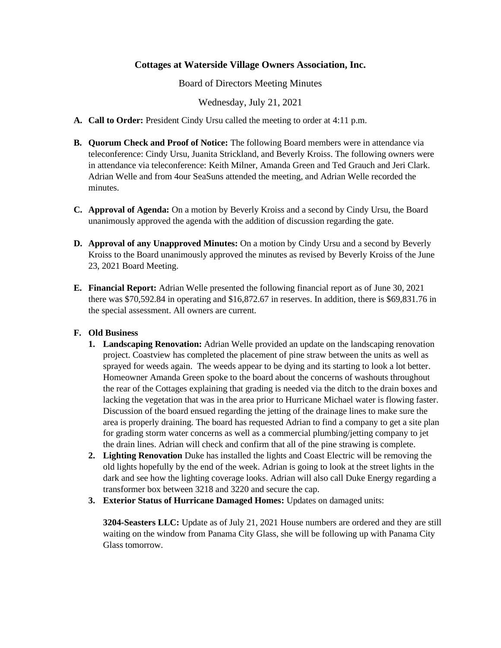## **Cottages at Waterside Village Owners Association, Inc.**

Board of Directors Meeting Minutes

Wednesday, July 21, 2021

- **A. Call to Order:** President Cindy Ursu called the meeting to order at 4:11 p.m.
- **B. Quorum Check and Proof of Notice:** The following Board members were in attendance via teleconference: Cindy Ursu, Juanita Strickland, and Beverly Kroiss. The following owners were in attendance via teleconference: Keith Milner, Amanda Green and Ted Grauch and Jeri Clark. Adrian Welle and from 4our SeaSuns attended the meeting, and Adrian Welle recorded the minutes.
- **C. Approval of Agenda:** On a motion by Beverly Kroiss and a second by Cindy Ursu, the Board unanimously approved the agenda with the addition of discussion regarding the gate.
- **D. Approval of any Unapproved Minutes:** On a motion by Cindy Ursu and a second by Beverly Kroiss to the Board unanimously approved the minutes as revised by Beverly Kroiss of the June 23, 2021 Board Meeting.
- **E. Financial Report:** Adrian Welle presented the following financial report as of June 30, 2021 there was \$70,592.84 in operating and \$16,872.67 in reserves. In addition, there is \$69,831.76 in the special assessment. All owners are current.

## **F. Old Business**

- **1. Landscaping Renovation:** Adrian Welle provided an update on the landscaping renovation project. Coastview has completed the placement of pine straw between the units as well as sprayed for weeds again. The weeds appear to be dying and its starting to look a lot better. Homeowner Amanda Green spoke to the board about the concerns of washouts throughout the rear of the Cottages explaining that grading is needed via the ditch to the drain boxes and lacking the vegetation that was in the area prior to Hurricane Michael water is flowing faster. Discussion of the board ensued regarding the jetting of the drainage lines to make sure the area is properly draining. The board has requested Adrian to find a company to get a site plan for grading storm water concerns as well as a commercial plumbing/jetting company to jet the drain lines. Adrian will check and confirm that all of the pine strawing is complete.
- **2. Lighting Renovation** Duke has installed the lights and Coast Electric will be removing the old lights hopefully by the end of the week. Adrian is going to look at the street lights in the dark and see how the lighting coverage looks. Adrian will also call Duke Energy regarding a transformer box between 3218 and 3220 and secure the cap.
- **3. Exterior Status of Hurricane Damaged Homes:** Updates on damaged units:

**3204-Seasters LLC:** Update as of July 21, 2021 House numbers are ordered and they are still waiting on the window from Panama City Glass, she will be following up with Panama City Glass tomorrow.